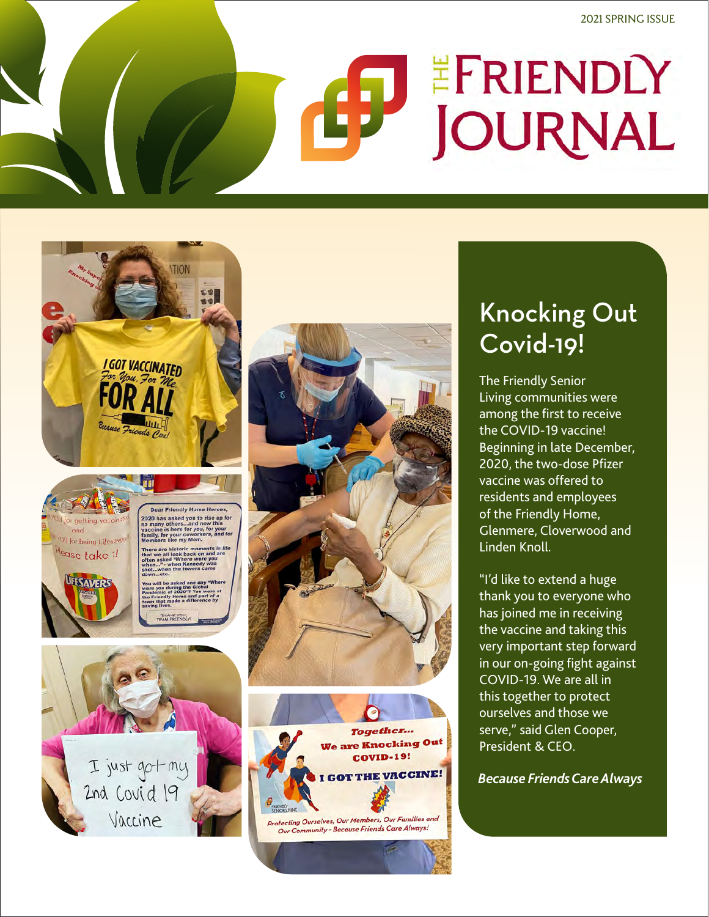# EFRIENDLY JOURNAL





UFESAVERS



#### Knocking Out Covid-19!

The Friendly Senior Living communities were among the first to receive the COVID-19 vaccine! Beginning in late December, 2020, the two-dose Pfizer vaccine was offered to residents and employees of the Friendly Home, Glenmere, Cloverwood and Linden Knoll.

"I'd like to extend a huge thank you to everyone who has joined me in receiving the vaccine and taking this very important step forward in our on-going fight against COVID-19. We are all in this together to protect ourselves and those we serve," said Glen Cooper, President & CEO.

*Because Friends Care Always*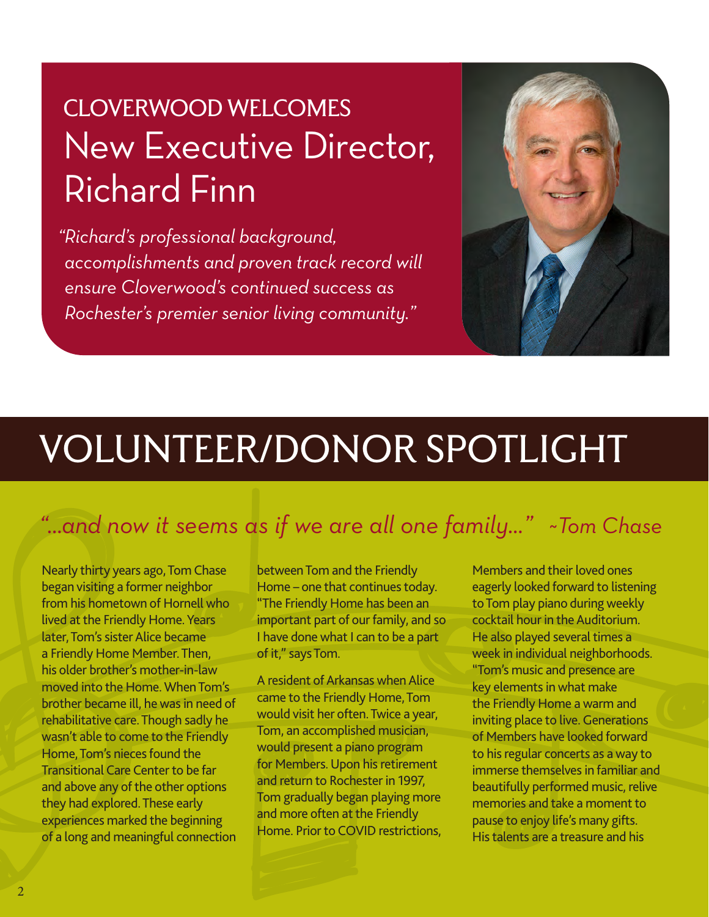# CLOVERWOOD WELCOMES New Executive Director, Richard Finn

*"Richard's professional background, accomplishments and proven track record will ensure Cloverwood's continued success as Rochester's premier senior living community."*



# VOLUNTEER/DONOR SPOTLIGHT

#### *"…and now it seems as if we are all one family…" ~Tom Chase*

Nearly thirty years ago, Tom Chase began visiting a former neighbor from his hometown of Hornell who lived at the Friendly Home. Years later, Tom's sister Alice became a Friendly Home Member. Then, his older brother's mother-in-law moved into the Home. When Tom's brother became ill, he was in need of rehabilitative care. Though sadly he wasn't able to come to the Friendly Home, Tom's nieces found the Transitional Care Center to be far and above any of the other options they had explored. These early experiences marked the beginning of a long and meaningful connection

between Tom and the Friendly Home – one that continues today. "The Friendly Home has been an important part of our family, and so I have done what I can to be a part of it," says Tom.

A resident of Arkansas when Alice came to the Friendly Home, Tom would visit her often. Twice a year, Tom, an accomplished musician, would present a piano program for Members. Upon his retirement and return to Rochester in 1997, Tom gradually began playing more and more often at the Friendly Home. Prior to COVID restrictions, Members and their loved ones eagerly looked forward to listening to Tom play piano during weekly cocktail hour in the Auditorium. He also played several times a week in individual neighborhoods. "Tom's music and presence are key elements in what make the Friendly Home a warm and inviting place to live. Generations of Members have looked forward to his regular concerts as a way to immerse themselves in familiar and beautifully performed music, relive memories and take a moment to pause to enjoy life's many gifts. His talents are a treasure and his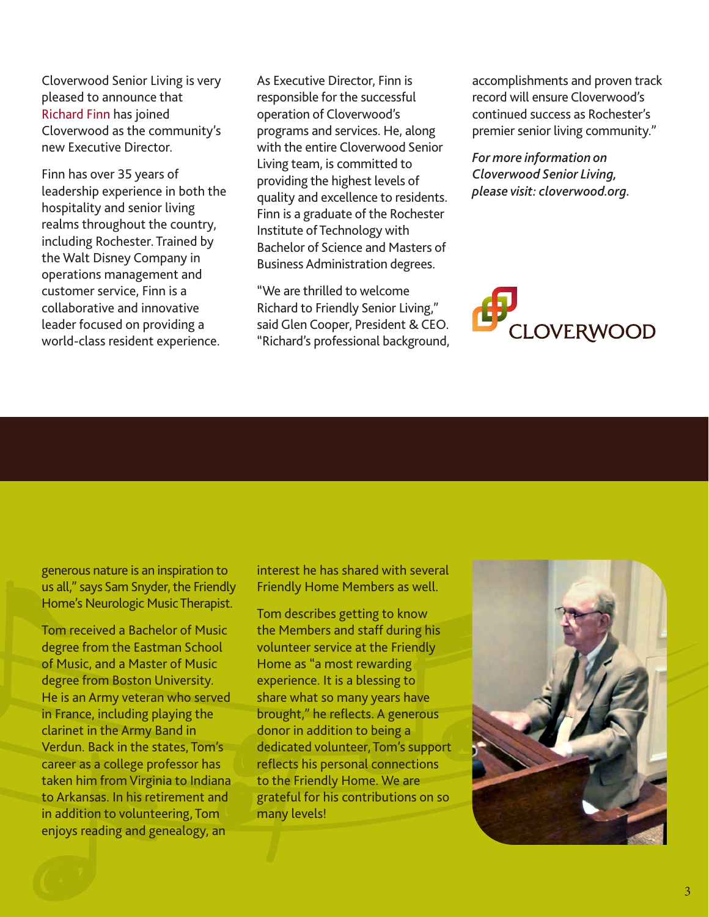Cloverwood Senior Living is very pleased to announce that Richard Finn has joined Cloverwood as the community's new Executive Director.

Finn has over 35 years of leadership experience in both the hospitality and senior living realms throughout the country, including Rochester. Trained by the Walt Disney Company in operations management and customer service, Finn is a collaborative and innovative leader focused on providing a world-class resident experience.

As Executive Director, Finn is responsible for the successful operation of Cloverwood's programs and services. He, along with the entire Cloverwood Senior Living team, is committed to providing the highest levels of quality and excellence to residents. Finn is a graduate of the Rochester Institute of Technology with Bachelor of Science and Masters of Business Administration degrees.

"We are thrilled to welcome Richard to Friendly Senior Living," said Glen Cooper, President & CEO. "Richard's professional background, accomplishments and proven track record will ensure Cloverwood's continued success as Rochester's premier senior living community."

*For more information on Cloverwood Senior Living, please visit: cloverwood.org.*



generous nature is an inspiration to us all," says Sam Snyder, the Friendly Home's Neurologic Music Therapist.

Tom received a Bachelor of Music degree from the Eastman School of Music, and a Master of Music degree from Boston University. He is an Army veteran who served in France, including playing the clarinet in the Army Band in Verdun. Back in the states, Tom's career as a college professor has taken him from Virginia to Indiana to Arkansas. In his retirement and in addition to volunteering, Tom enjoys reading and genealogy, an

interest he has shared with several Friendly Home Members as well.

Tom describes getting to know the Members and staff during his volunteer service at the Friendly Home as "a most rewarding experience. It is a blessing to share what so many years have brought," he reflects. A generous donor in addition to being a dedicated volunteer, Tom's support reflects his personal connections to the Friendly Home. We are grateful for his contributions on so many levels!

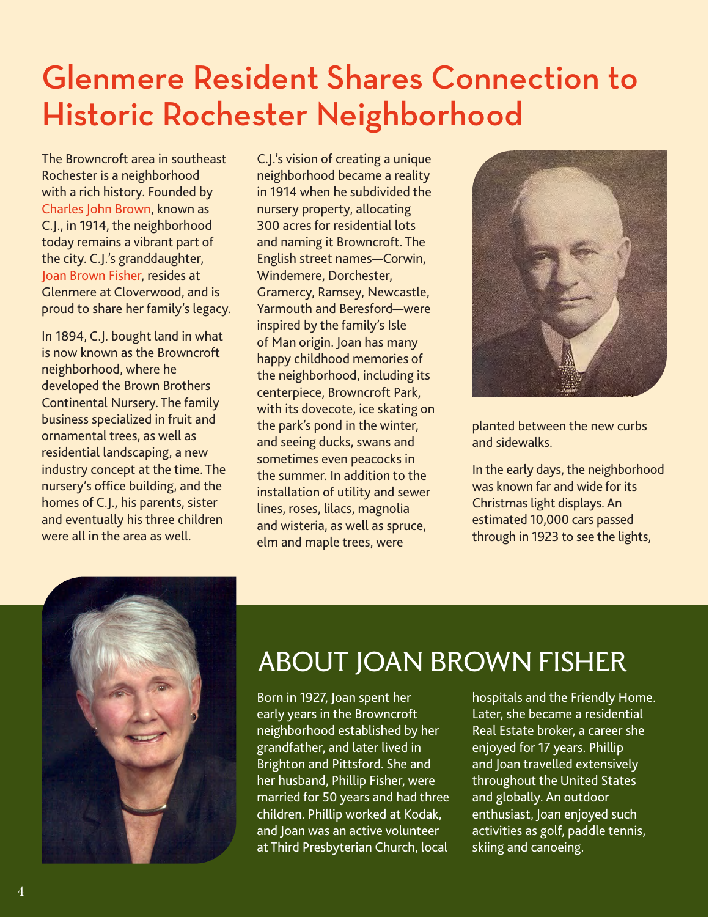## Glenmere Resident Shares Connection to Historic Rochester Neighborhood

The Browncroft area in southeast Rochester is a neighborhood with a rich history. Founded by Charles John Brown, known as C.J., in 1914, the neighborhood today remains a vibrant part of the city. C.J.'s granddaughter, Joan Brown Fisher, resides at Glenmere at Cloverwood, and is proud to share her family's legacy.

In 1894, C.J. bought land in what is now known as the Browncroft neighborhood, where he developed the Brown Brothers Continental Nursery. The family business specialized in fruit and ornamental trees, as well as residential landscaping, a new industry concept at the time. The nursery's office building, and the homes of C.J., his parents, sister and eventually his three children were all in the area as well.

C.J.'s vision of creating a unique neighborhood became a reality in 1914 when he subdivided the nursery property, allocating 300 acres for residential lots and naming it Browncroft. The English street names—Corwin, Windemere, Dorchester, Gramercy, Ramsey, Newcastle, Yarmouth and Beresford—were inspired by the family's Isle of Man origin. Joan has many happy childhood memories of the neighborhood, including its centerpiece, Browncroft Park, with its dovecote, ice skating on the park's pond in the winter, and seeing ducks, swans and sometimes even peacocks in the summer. In addition to the installation of utility and sewer lines, roses, lilacs, magnolia and wisteria, as well as spruce, elm and maple trees, were



planted between the new curbs and sidewalks.

In the early days, the neighborhood was known far and wide for its Christmas light displays. An estimated 10,000 cars passed through in 1923 to see the lights,



### ABOUT JOAN BROWN FISHER

Born in 1927, Joan spent her early years in the Browncroft neighborhood established by her grandfather, and later lived in Brighton and Pittsford. She and her husband, Phillip Fisher, were married for 50 years and had three children. Phillip worked at Kodak, and Joan was an active volunteer at Third Presbyterian Church, local

hospitals and the Friendly Home. Later, she became a residential Real Estate broker, a career she enjoyed for 17 years. Phillip and Joan travelled extensively throughout the United States and globally. An outdoor enthusiast, Joan enjoyed such activities as golf, paddle tennis, skiing and canoeing.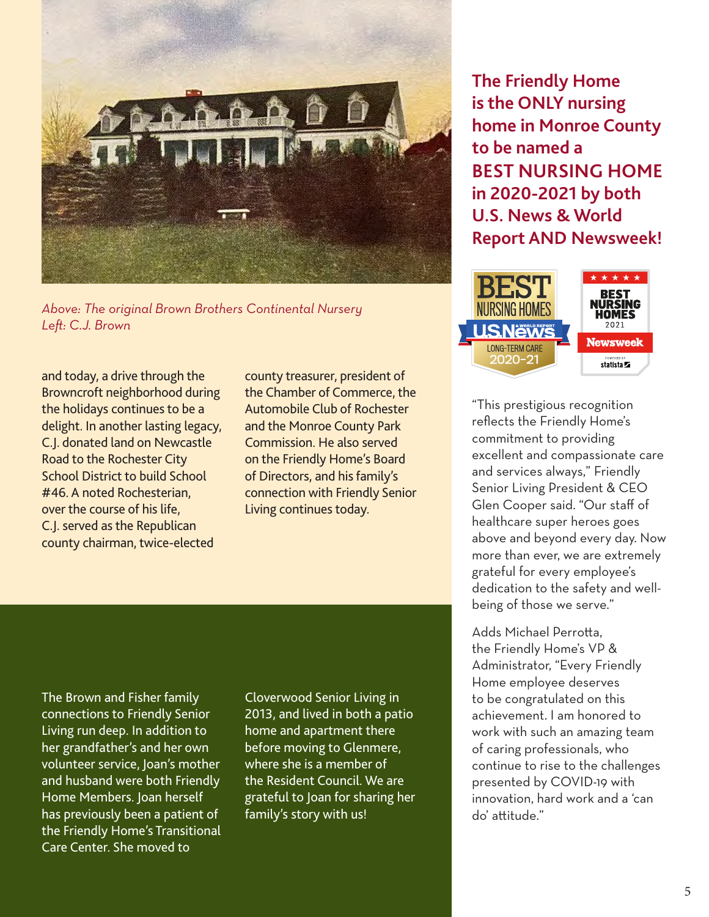

*Above: The original Brown Brothers Continental Nursery Left: C.J. Brown*

and today, a drive through the Browncroft neighborhood during the holidays continues to be a delight. In another lasting legacy, C.J. donated land on Newcastle Road to the Rochester City School District to build School #46. A noted Rochesterian, over the course of his life, C.J. served as the Republican county chairman, twice-elected

county treasurer, president of the Chamber of Commerce, the Automobile Club of Rochester and the Monroe County Park Commission. He also served on the Friendly Home's Board of Directors, and his family's connection with Friendly Senior Living continues today.

**The Friendly Home is the ONLY nursing home in Monroe County to be named a BEST NURSING HOME in 2020-2021 by both U.S. News & World Report AND Newsweek!** 



"This prestigious recognition reflects the Friendly Home's commitment to providing excellent and compassionate care and services always," Friendly Senior Living President & CEO Glen Cooper said. "Our staff of healthcare super heroes goes above and beyond every day. Now more than ever, we are extremely grateful for every employee's dedication to the safety and wellbeing of those we serve."

Adds Michael Perrotta, the Friendly Home's VP & Administrator, "Every Friendly Home employee deserves to be congratulated on this achievement. I am honored to work with such an amazing team of caring professionals, who continue to rise to the challenges presented by COVID-19 with innovation, hard work and a 'can do' attitude."

The Brown and Fisher family connections to Friendly Senior Living run deep. In addition to her grandfather's and her own volunteer service, Joan's mother and husband were both Friendly Home Members. Joan herself has previously been a patient of the Friendly Home's Transitional Care Center. She moved to

Cloverwood Senior Living in 2013, and lived in both a patio home and apartment there before moving to Glenmere, where she is a member of the Resident Council. We are grateful to Joan for sharing her family's story with us!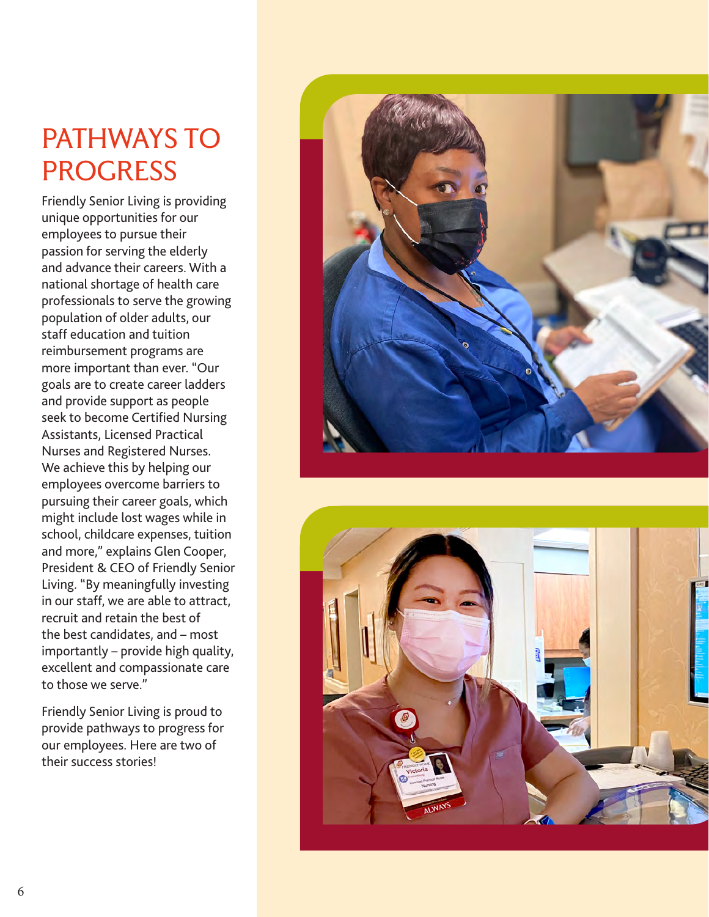#### PATHWAYS TO PROGRESS

Friendly Senior Living is providing unique opportunities for our employees to pursue their passion for serving the elderly and advance their careers. With a national shortage of health care professionals to serve the growing population of older adults, our staff education and tuition reimbursement programs are more important than ever. "Our goals are to create career ladders and provide support as people seek to become Certified Nursing Assistants, Licensed Practical Nurses and Registered Nurses. We achieve this by helping our employees overcome barriers to pursuing their career goals, which might include lost wages while in school, childcare expenses, tuition and more," explains Glen Cooper, President & CEO of Friendly Senior Living. "By meaningfully investing in our staff, we are able to attract, recruit and retain the best of the best candidates, and – most importantly – provide high quality, excellent and compassionate care to those we serve."

Friendly Senior Living is proud to provide pathways to progress for our employees. Here are two of their success stories!



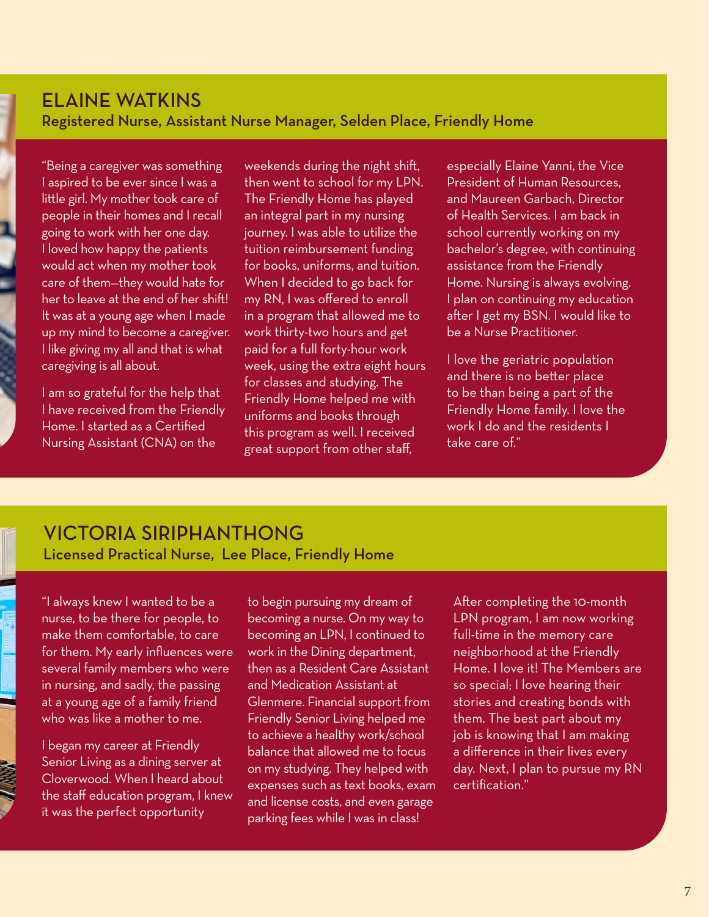#### ELAINE WATKINS Registered Nurse, Assistant Nurse Manager, Selden Place, Friendly Home

"Being a caregiver was something I aspired to be ever since I was a little girl. My mother took care of people in their homes and I recall going to work with her one day. I loved how happy the patients would act when my mother took care of them—they would hate for her to leave at the end of her shift! It was at a young age when I made up my mind to become a caregiver. I like giving my all and that is what caregiving is all about.

I am so grateful for the help that I have received from the Friendly Home. I started as a Certified Nursing Assistant (CNA) on the

weekends during the night shift, then went to school for my LPN. The Friendly Home has played an integral part in my nursing journey. I was able to utilize the tuition reimbursement funding for books, uniforms, and tuition. When I decided to go back for my RN, I was offered to enroll in a program that allowed me to work thirty-two hours and get paid for a full forty-hour work week, using the extra eight hours for classes and studying. The Friendly Home helped me with uniforms and books through this program as well. I received great support from other staff,

especially Elaine Yanni, the Vice President of Human Resources, and Maureen Garbach, Director of Health Services. I am back in school currently working on my bachelor's degree, with continuing assistance from the Friendly Home. Nursing is always evolving. I plan on continuing my education after I get my BSN. I would like to be a Nurse Practitioner.

I love the geriatric population and there is no better place to be than being a part of the Friendly Home family. I love the work I do and the residents I take care of."

#### VICTORIA SIRIPHANTHONG Licensed Practical Nurse, Lee Place, Friendly Home

"I always knew I wanted to be a nurse, to be there for people, to make them comfortable, to care for them. My early influences were several family members who were in nursing, and sadly, the passing at a young age of a family friend who was like a mother to me.

I began my career at Friendly Senior Living as a dining server at Cloverwood. When I heard about the staff education program, I knew it was the perfect opportunity

to begin pursuing my dream of becoming a nurse. On my way to becoming an LPN, I continued to work in the Dining department, then as a Resident Care Assistant and Medication Assistant at Glenmere. Financial support from Friendly Senior Living helped me to achieve a healthy work/school balance that allowed me to focus on my studying. They helped with expenses such as text books, exam and license costs, and even garage parking fees while I was in class!

After completing the 10-month LPN program, I am now working full-time in the memory care neighborhood at the Friendly Home. I love it! The Members are so special; I love hearing their stories and creating bonds with them. The best part about my job is knowing that I am making a difference in their lives every day. Next, I plan to pursue my RN certification."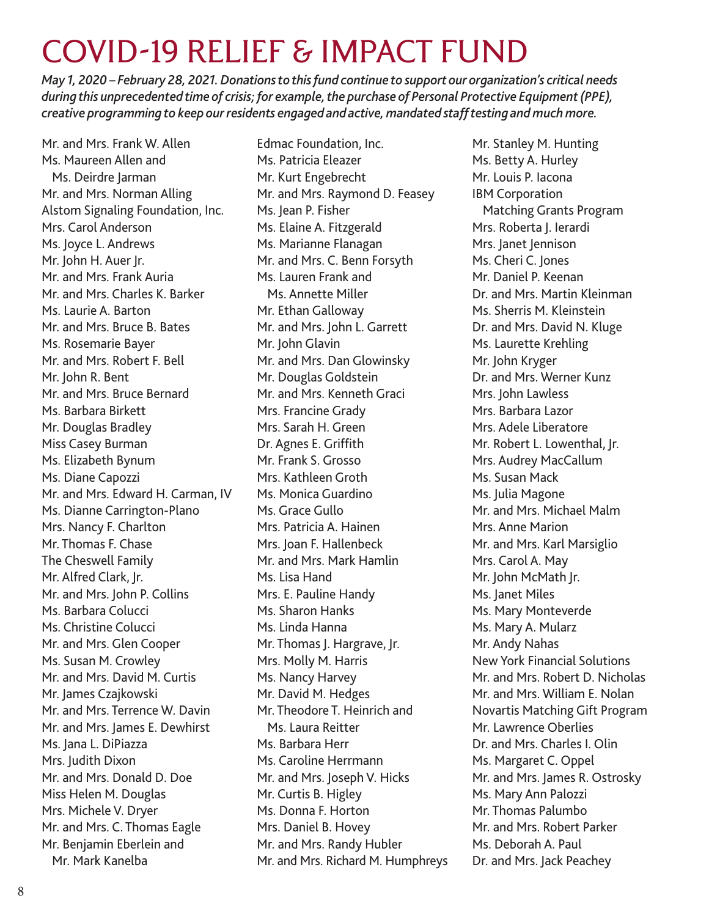## COVID-19 RELIEF & IMPACT FUND

*May 1, 2020 – February 28, 2021. Donations to this fund continue to support our organization's critical needs during this unprecedented time of crisis; for example, the purchase of Personal Protective Equipment (PPE), creative programming to keep our residents engaged and active, mandated staff testing and much more.*

Mr. and Mrs. Frank W. Allen Ms. Maureen Allen and Ms. Deirdre Jarman Mr. and Mrs. Norman Alling Alstom Signaling Foundation, Inc. Mrs. Carol Anderson Ms. Joyce L. Andrews Mr. John H. Auer Jr. Mr. and Mrs. Frank Auria Mr. and Mrs. Charles K. Barker Ms. Laurie A. Barton Mr. and Mrs. Bruce B. Bates Ms. Rosemarie Bayer Mr. and Mrs. Robert F. Bell Mr. John R. Bent Mr. and Mrs. Bruce Bernard Ms. Barbara Birkett Mr. Douglas Bradley Miss Casey Burman Ms. Elizabeth Bynum Ms. Diane Capozzi Mr. and Mrs. Edward H. Carman, IV Ms. Dianne Carrington-Plano Mrs. Nancy F. Charlton Mr. Thomas F. Chase The Cheswell Family Mr. Alfred Clark, Jr. Mr. and Mrs. John P. Collins Ms. Barbara Colucci Ms. Christine Colucci Mr. and Mrs. Glen Cooper Ms. Susan M. Crowley Mr. and Mrs. David M. Curtis Mr. James Czajkowski Mr. and Mrs. Terrence W. Davin Mr. and Mrs. James E. Dewhirst Ms. Jana L. DiPiazza Mrs. Judith Dixon Mr. and Mrs. Donald D. Doe Miss Helen M. Douglas Mrs. Michele V. Dryer Mr. and Mrs. C. Thomas Eagle Mr. Benjamin Eberlein and Mr. Mark Kanelba

Edmac Foundation, Inc. Ms. Patricia Eleazer Mr. Kurt Engebrecht Mr. and Mrs. Raymond D. Feasey Ms. Jean P. Fisher Ms. Elaine A. Fitzgerald Ms. Marianne Flanagan Mr. and Mrs. C. Benn Forsyth Ms. Lauren Frank and Ms. Annette Miller Mr. Ethan Galloway Mr. and Mrs. John L. Garrett Mr. John Glavin Mr. and Mrs. Dan Glowinsky Mr. Douglas Goldstein Mr. and Mrs. Kenneth Graci Mrs. Francine Grady Mrs. Sarah H. Green Dr. Agnes E. Griffith Mr. Frank S. Grosso Mrs. Kathleen Groth Ms. Monica Guardino Ms. Grace Gullo Mrs. Patricia A. Hainen Mrs. Joan F. Hallenbeck Mr. and Mrs. Mark Hamlin Ms. Lisa Hand Mrs. E. Pauline Handy Ms. Sharon Hanks Ms. Linda Hanna Mr. Thomas J. Hargrave, Jr. Mrs. Molly M. Harris Ms. Nancy Harvey Mr. David M. Hedges Mr. Theodore T. Heinrich and Ms. Laura Reitter Ms. Barbara Herr Ms. Caroline Herrmann Mr. and Mrs. Joseph V. Hicks Mr. Curtis B. Higley Ms. Donna F. Horton Mrs. Daniel B. Hovey Mr. and Mrs. Randy Hubler Mr. and Mrs. Richard M. Humphreys Mr. Stanley M. Hunting Ms. Betty A. Hurley Mr. Louis P. Iacona IBM Corporation Matching Grants Program Mrs. Roberta J. Ierardi Mrs. Janet Jennison Ms. Cheri C. Jones Mr. Daniel P. Keenan Dr. and Mrs. Martin Kleinman Ms. Sherris M. Kleinstein Dr. and Mrs. David N. Kluge Ms. Laurette Krehling Mr. John Kryger Dr. and Mrs. Werner Kunz Mrs. John Lawless Mrs. Barbara Lazor Mrs. Adele Liberatore Mr. Robert L. Lowenthal, Jr. Mrs. Audrey MacCallum Ms. Susan Mack Ms. Julia Magone Mr. and Mrs. Michael Malm Mrs. Anne Marion Mr. and Mrs. Karl Marsiglio Mrs. Carol A. May Mr. John McMath Jr. Ms. Janet Miles Ms. Mary Monteverde Ms. Mary A. Mularz Mr. Andy Nahas New York Financial Solutions Mr. and Mrs. Robert D. Nicholas Mr. and Mrs. William E. Nolan Novartis Matching Gift Program Mr. Lawrence Oberlies Dr. and Mrs. Charles I. Olin Ms. Margaret C. Oppel Mr. and Mrs. James R. Ostrosky Ms. Mary Ann Palozzi Mr. Thomas Palumbo Mr. and Mrs. Robert Parker Ms. Deborah A. Paul Dr. and Mrs. Jack Peachey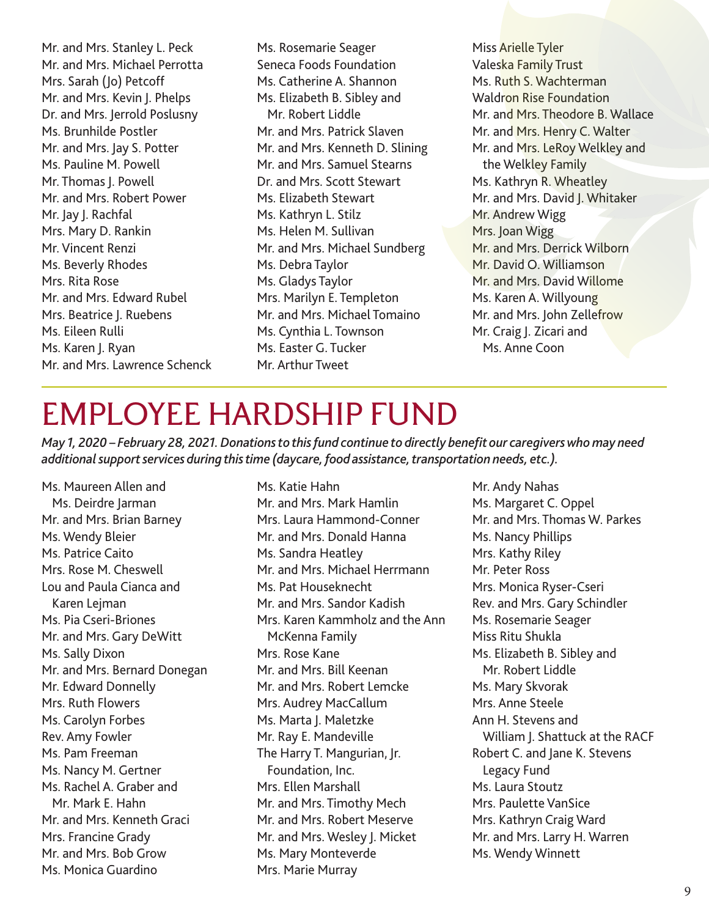Mr. and Mrs. Stanley L. Peck Mr. and Mrs. Michael Perrotta Mrs. Sarah (Jo) Petcoff Mr. and Mrs. Kevin J. Phelps Dr. and Mrs. Jerrold Poslusny Ms. Brunhilde Postler Mr. and Mrs. Jay S. Potter Ms. Pauline M. Powell Mr. Thomas I. Powell Mr. and Mrs. Robert Power Mr. Jay J. Rachfal Mrs. Mary D. Rankin Mr. Vincent Renzi Ms. Beverly Rhodes Mrs. Rita Rose Mr. and Mrs. Edward Rubel Mrs. Beatrice I. Ruebens Ms. Eileen Rulli Ms. Karen J. Ryan Mr. and Mrs. Lawrence Schenck Ms. Rosemarie Seager Seneca Foods Foundation Ms. Catherine A. Shannon Ms. Elizabeth B. Sibley and Mr. Robert Liddle Mr. and Mrs. Patrick Slaven Mr. and Mrs. Kenneth D. Slining Mr. and Mrs. Samuel Stearns Dr. and Mrs. Scott Stewart Ms. Elizabeth Stewart Ms. Kathryn L. Stilz Ms. Helen M. Sullivan Mr. and Mrs. Michael Sundberg Ms. Debra Taylor Ms. Gladys Taylor Mrs. Marilyn E. Templeton Mr. and Mrs. Michael Tomaino Ms. Cynthia L. Townson Ms. Easter G. Tucker Mr. Arthur Tweet

Miss Arielle Tyler Valeska Family Trust Ms. Ruth S. Wachterman Waldron Rise Foundation Mr. and Mrs. Theodore B. Wallace Mr. and Mrs. Henry C. Walter Mr. and Mrs. LeRoy Welkley and the Welkley Family Ms. Kathryn R. Wheatley Mr. and Mrs. David J. Whitaker Mr. Andrew Wigg Mrs. Joan Wigg Mr. and Mrs. Derrick Wilborn Mr. David O. Williamson Mr. and Mrs. David Willome Ms. Karen A. Willyoung Mr. and Mrs. John Zellefrow Mr. Craig |. Zicari and Ms. Anne Coon

### EMPLOYEE HARDSHIP FUND

*May 1, 2020 – February 28, 2021. Donations to this fund continue to directly benefit our caregivers who may need additional support services during this time (daycare, food assistance, transportation needs, etc.).*

Ms. Maureen Allen and Ms. Deirdre Jarman Mr. and Mrs. Brian Barney Ms. Wendy Bleier Ms. Patrice Caito Mrs. Rose M. Cheswell Lou and Paula Cianca and Karen Lejman Ms. Pia Cseri-Briones Mr. and Mrs. Gary DeWitt Ms. Sally Dixon Mr. and Mrs. Bernard Donegan Mr. Edward Donnelly Mrs. Ruth Flowers Ms. Carolyn Forbes Rev. Amy Fowler Ms. Pam Freeman Ms. Nancy M. Gertner Ms. Rachel A. Graber and Mr. Mark E. Hahn Mr. and Mrs. Kenneth Graci Mrs. Francine Grady Mr. and Mrs. Bob Grow Ms. Monica Guardino

Ms. Katie Hahn Mr. and Mrs. Mark Hamlin Mrs. Laura Hammond-Conner Mr. and Mrs. Donald Hanna Ms. Sandra Heatley Mr. and Mrs. Michael Herrmann Ms. Pat Houseknecht Mr. and Mrs. Sandor Kadish Mrs. Karen Kammholz and the Ann McKenna Family Mrs. Rose Kane Mr. and Mrs. Bill Keenan Mr. and Mrs. Robert Lemcke Mrs. Audrey MacCallum Ms. Marta J. Maletzke Mr. Ray E. Mandeville The Harry T. Mangurian, Jr. Foundation, Inc. Mrs. Ellen Marshall Mr. and Mrs. Timothy Mech Mr. and Mrs. Robert Meserve Mr. and Mrs. Wesley I. Micket Ms. Mary Monteverde Mrs. Marie Murray

Mr. Andy Nahas Ms. Margaret C. Oppel Mr. and Mrs. Thomas W. Parkes Ms. Nancy Phillips Mrs. Kathy Riley Mr. Peter Ross Mrs. Monica Ryser-Cseri Rev. and Mrs. Gary Schindler Ms. Rosemarie Seager Miss Ritu Shukla Ms. Elizabeth B. Sibley and Mr. Robert Liddle Ms. Mary Skvorak Mrs. Anne Steele Ann H. Stevens and William J. Shattuck at the RACF Robert C. and Jane K. Stevens Legacy Fund Ms. Laura Stoutz Mrs. Paulette VanSice Mrs. Kathryn Craig Ward Mr. and Mrs. Larry H. Warren Ms. Wendy Winnett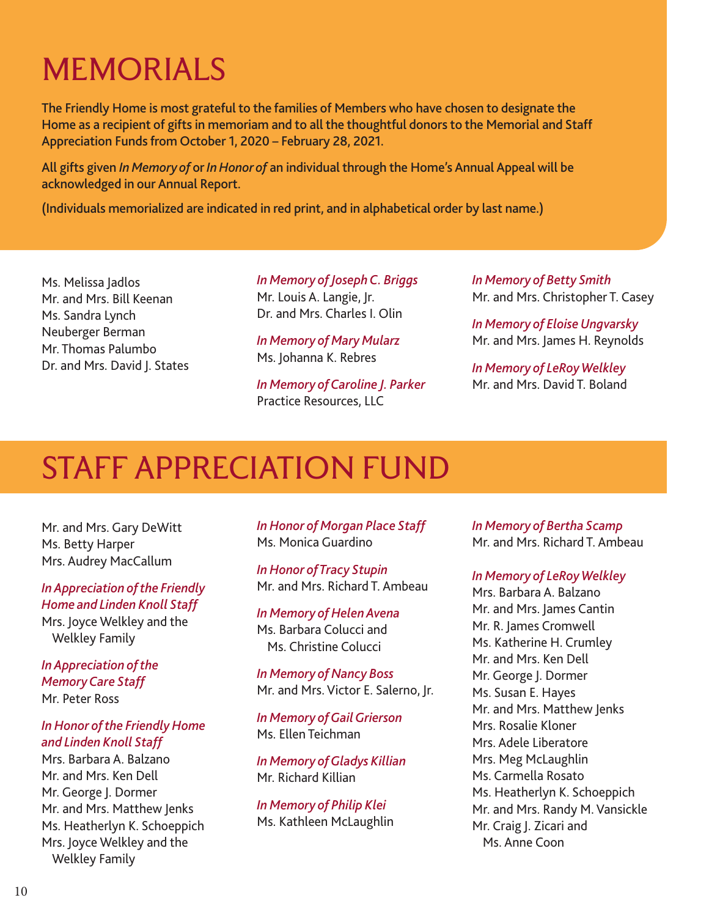# MEMORIALS

The Friendly Home is most grateful to the families of Members who have chosen to designate the Home as a recipient of gifts in memoriam and to all the thoughtful donors to the Memorial and Staff Appreciation Funds from October 1, 2020 – February 28, 2021.

All gifts given *In Memory of* or *In Honor of* an individual through the Home's Annual Appeal will be acknowledged in our Annual Report.

(Individuals memorialized are indicated in red print, and in alphabetical order by last name.)

Ms. Melissa Jadlos Mr. and Mrs. Bill Keenan Ms. Sandra Lynch Neuberger Berman Mr. Thomas Palumbo Dr. and Mrs. David J. States *In Memory of Joseph C. Briggs* Mr. Louis A. Langie, Jr. Dr. and Mrs. Charles I. Olin

*In Memory of Mary Mularz* Ms. Johanna K. Rebres

*In Memory of Caroline J. Parker* Practice Resources, LLC

*In Memory of Betty Smith* Mr. and Mrs. Christopher T. Casey

*In Memory of Eloise Ungvarsky* Mr. and Mrs. James H. Reynolds

*In Memory of LeRoy Welkley* Mr. and Mrs. David T. Boland

### STAFF APPRECIATION FUND

Mr. and Mrs. Gary DeWitt Ms. Betty Harper Mrs. Audrey MacCallum

*In Appreciation of the Friendly Home and Linden Knoll Staff*  Mrs. Joyce Welkley and the Welkley Family

*In Appreciation of the Memory Care Staff*  Mr. Peter Ross

#### *In Honor of the Friendly Home and Linden Knoll Staff*

Mrs. Barbara A. Balzano Mr. and Mrs. Ken Dell Mr. George J. Dormer Mr. and Mrs. Matthew Jenks Ms. Heatherlyn K. Schoeppich Mrs. Joyce Welkley and the Welkley Family

*In Honor of Morgan Place Staff*  Ms. Monica Guardino

*In Honor of Tracy Stupin*  Mr. and Mrs. Richard T. Ambeau

*In Memory of Helen Avena*  Ms. Barbara Colucci and Ms. Christine Colucci

*In Memory of Nancy Boss*  Mr. and Mrs. Victor E. Salerno, Jr.

*In Memory of Gail Grierson*  Ms. Ellen Teichman

*In Memory of Gladys Killian*  Mr. Richard Killian

*In Memory of Philip Klei*  Ms. Kathleen McLaughlin *In Memory of Bertha Scamp*  Mr. and Mrs. Richard T. Ambeau

*In Memory of LeRoy Welkley* 

Mrs. Barbara A. Balzano Mr. and Mrs. James Cantin Mr. R. James Cromwell Ms. Katherine H. Crumley Mr. and Mrs. Ken Dell Mr. George J. Dormer Ms. Susan E. Hayes Mr. and Mrs. Matthew Jenks Mrs. Rosalie Kloner Mrs. Adele Liberatore Mrs. Meg McLaughlin Ms. Carmella Rosato Ms. Heatherlyn K. Schoeppich Mr. and Mrs. Randy M. Vansickle Mr. Craig J. Zicari and Ms. Anne Coon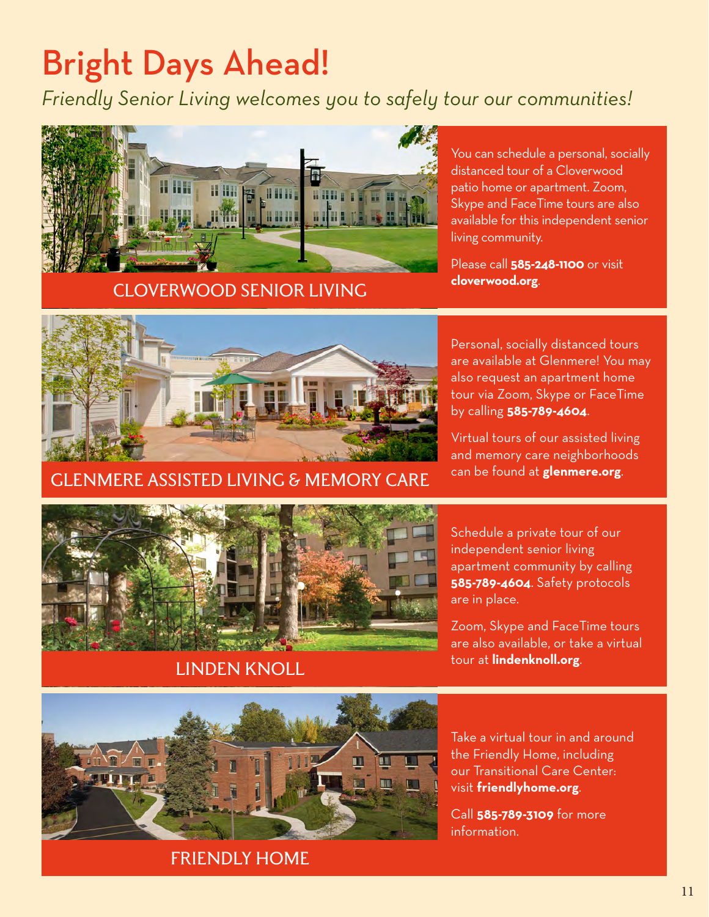# Bright Days Ahead!

*Friendly Senior Living welcomes you to safely tour our communities!*



CLOVERWOOD SENIOR LIVING

You can schedule a personal, socially distanced tour of a Cloverwood patio home or apartment. Zoom, Skype and FaceTime tours are also available for this independent senior living community.

Please call **585-248-1100** or visit **cloverwood.org**.



GLENMERE ASSISTED LIVING & MEMORY CARE

Personal, socially distanced tours are available at Glenmere! You may also request an apartment home tour via Zoom, Skype or FaceTime by calling **585-789-4604**.

Virtual tours of our assisted living and memory care neighborhoods can be found at **glenmere.org**.



#### LINDEN KNOLL

Schedule a private tour of our independent senior living apartment community by calling **585-789-4604**. Safety protocols are in place.

Zoom, Skype and FaceTime tours are also available, or take a virtual tour at **lindenknoll.org**.



Take a virtual tour in and around the Friendly Home, including our Transitional Care Center: visit **friendlyhome.org**.

Call **585-789-3109** for more information.

#### FRIENDLY HOME